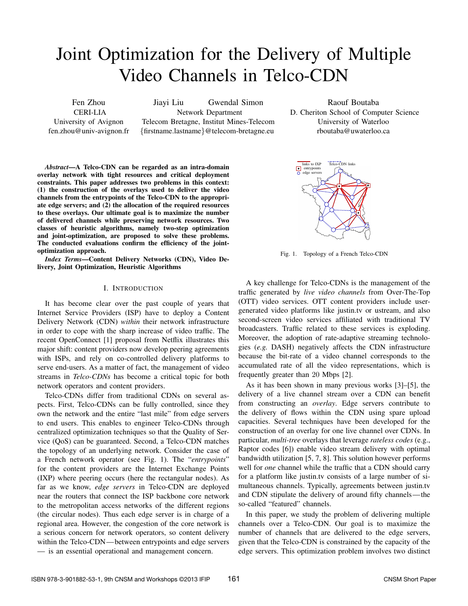# Joint Optimization for the Delivery of Multiple Video Channels in Telco-CDN

Fen Zhou CERI-LIA University of Avignon fen.zhou@univ-avignon.fr

Jiayi Liu Gwendal Simon Network Department Telecom Bretagne, Institut Mines-Telecom {firstname.lastname}@telecom-bretagne.eu

Raouf Boutaba D. Cheriton School of Computer Science University of Waterloo rboutaba@uwaterloo.ca

*Abstract*—A Telco-CDN can be regarded as an intra-domain overlay network with tight resources and critical deployment constraints. This paper addresses two problems in this context: (1) the construction of the overlays used to deliver the video channels from the entrypoints of the Telco-CDN to the appropriate edge servers; and (2) the allocation of the required resources to these overlays. Our ultimate goal is to maximize the number of delivered channels while preserving network resources. Two classes of heuristic algorithms, namely two-step optimization and joint-optimization, are proposed to solve these problems. The conducted evaluations confirm the efficiency of the jointoptimization approach.

*Index Terms*—Content Delivery Networks (CDN), Video Delivery, Joint Optimization, Heuristic Algorithms

#### I. INTRODUCTION

It has become clear over the past couple of years that Internet Service Providers (ISP) have to deploy a Content Delivery Network (CDN) *within* their network infrastructure in order to cope with the sharp increase of video traffic. The recent OpenConnect [1] proposal from Netflix illustrates this major shift: content providers now develop peering agreements with ISPs, and rely on co-controlled delivery platforms to serve end-users. As a matter of fact, the management of video streams in *Telco-CDNs* has become a critical topic for both network operators and content providers.

Telco-CDNs differ from traditional CDNs on several aspects. First, Telco-CDNs can be fully controlled, since they own the network and the entire "last mile" from edge servers to end users. This enables to engineer Telco-CDNs through centralized optimization techniques so that the Quality of Service (QoS) can be guaranteed. Second, a Telco-CDN matches the topology of an underlying network. Consider the case of a French network operator (see Fig. 1). The "*entrypoints*" for the content providers are the Internet Exchange Points (IXP) where peering occurs (here the rectangular nodes). As far as we know, *edge servers* in Telco-CDN are deployed near the routers that connect the ISP backbone core network to the metropolitan access networks of the different regions (the circular nodes). Thus each edge server is in charge of a regional area. However, the congestion of the core network is a serious concern for network operators, so content delivery within the Telco-CDN— between entrypoints and edge servers — is an essential operational and management concern.



Fig. 1. Topology of a French Telco-CDN

A key challenge for Telco-CDNs is the management of the traffic generated by *live video channels* from Over-The-Top (OTT) video services. OTT content providers include usergenerated video platforms like justin.tv or ustream, and also second-screen video services affiliated with traditional TV broadcasters. Traffic related to these services is exploding. Moreover, the adoption of rate-adaptive streaming technologies (*e.g.* DASH) negatively affects the CDN infrastructure because the bit-rate of a video channel corresponds to the accumulated rate of all the video representations, which is frequently greater than 20 Mbps [2].

As it has been shown in many previous works [3]–[5], the delivery of a live channel stream over a CDN can benefit from constructing an *overlay*. Edge servers contribute to the delivery of flows within the CDN using spare upload capacities. Several techniques have been developed for the construction of an overlay for one live channel over CDNs. In particular, *multi-tree* overlays that leverage *rateless codes* (e.g., Raptor codes [6]) enable video stream delivery with optimal bandwidth utilization [5, 7, 8]. This solution however performs well for *one* channel while the traffic that a CDN should carry for a platform like justin.tv consists of a large number of simultaneous channels. Typically, agreements between justin.tv and CDN stipulate the delivery of around fifty channels—the so-called "featured" channels.

In this paper, we study the problem of delivering multiple channels over a Telco-CDN. Our goal is to maximize the number of channels that are delivered to the edge servers, given that the Telco-CDN is constrained by the capacity of the edge servers. This optimization problem involves two distinct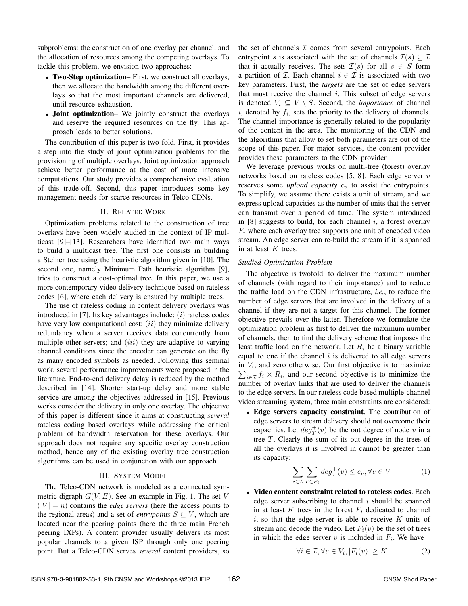subproblems: the construction of one overlay per channel, and the allocation of resources among the competing overlays. To tackle this problem, we envision two approaches:

- Two-Step optimization– First, we construct all overlays, then we allocate the bandwidth among the different overlays so that the most important channels are delivered, until resource exhaustion.
- Joint optimization– We jointly construct the overlays and reserve the required resources on the fly. This approach leads to better solutions.

The contribution of this paper is two-fold. First, it provides a step into the study of joint optimization problems for the provisioning of multiple overlays. Joint optimization approach achieve better performance at the cost of more intensive computations. Our study provides a comprehensive evaluation of this trade-off. Second, this paper introduces some key management needs for scarce resources in Telco-CDNs.

#### II. RELATED WORK

Optimization problems related to the construction of tree overlays have been widely studied in the context of IP multicast [9]–[13]. Researchers have identified two main ways to build a multicast tree. The first one consists in building a Steiner tree using the heuristic algorithm given in [10]. The second one, namely Minimum Path heuristic algorithm [9], tries to construct a cost-optimal tree. In this paper, we use a more contemporary video delivery technique based on rateless codes [6], where each delivery is ensured by multiple trees.

The use of rateless coding in content delivery overlays was introduced in [7]. Its key advantages include:  $(i)$  rateless codes have very low computational cost;  $(ii)$  they minimize delivery redundancy when a server receives data concurrently from multiple other servers; and  $(iii)$  they are adaptive to varying channel conditions since the encoder can generate on the fly as many encoded symbols as needed. Following this seminal work, several performance improvements were proposed in the literature. End-to-end delivery delay is reduced by the method described in [14]. Shorter start-up delay and more stable service are among the objectives addressed in [15]. Previous works consider the delivery in only one overlay. The objective of this paper is different since it aims at constructing *several* rateless coding based overlays while addressing the critical problem of bandwidth reservation for these overlays. Our approach does not require any specific overlay construction method, hence any of the existing overlay tree construction algorithms can be used in conjunction with our approach.

# III. SYSTEM MODEL

The Telco-CDN network is modeled as a connected symmetric digraph  $G(V, E)$ . See an example in Fig. 1. The set V  $(|V| = n)$  contains the *edge servers* (here the access points to the regional areas) and a set of *entrypoints*  $S \subseteq V$ , which are located near the peering points (here the three main French peering IXPs). A content provider usually delivers its most popular channels to a given ISP through only one peering point. But a Telco-CDN serves *several* content providers, so the set of channels  $I$  comes from several entrypoints. Each entrypoint s is associated with the set of channels  $\mathcal{I}(s) \subseteq \mathcal{I}$ that it actually receives. The sets  $\mathcal{I}(s)$  for all  $s \in S$  form a partition of  $\mathcal I$ . Each channel  $i \in \mathcal I$  is associated with two key parameters. First, the *targets* are the set of edge servers that must receive the channel  $i$ . This subset of edge servers is denoted  $V_i \subseteq V \setminus S$ . Second, the *importance* of channel i, denoted by  $f_i$ , sets the priority to the delivery of channels. The channel importance is generally related to the popularity of the content in the area. The monitoring of the CDN and the algorithms that allow to set both parameters are out of the scope of this paper. For major services, the content provider provides these parameters to the CDN provider.

We leverage previous works on multi-tree (forest) overlay networks based on rateless codes  $[5, 8]$ . Each edge server  $v$ reserves some *upload capacity*  $c_v$  to assist the entrypoints. To simplify, we assume there exists a unit of stream, and we express upload capacities as the number of units that the server can transmit over a period of time. The system introduced in [8] suggests to build, for each channel  $i$ , a forest overlay  $F_i$  where each overlay tree supports one unit of encoded video stream. An edge server can re-build the stream if it is spanned in at least K trees.

### *Studied Optimization Problem*

The objective is twofold: to deliver the maximum number of channels (with regard to their importance) and to reduce the traffic load on the CDN infrastructure, *i.e.*, to reduce the number of edge servers that are involved in the delivery of a channel if they are not a target for this channel. The former objective prevails over the latter. Therefore we formulate the optimization problem as first to deliver the maximum number of channels, then to find the delivery scheme that imposes the least traffic load on the network. Let  $R_i$  be a binary variable equal to one if the channel  $i$  is delivered to all edge servers in  $V_i$ , and zero otherwise. Our first objective is to maximize  $\sum_{i \in \mathcal{I}} f_i \times R_i$ , and our second objective is to minimize the number of overlay links that are used to deliver the channels to the edge servers. In our rateless code based multiple-channel video streaming system, three main constraints are considered:

• Edge servers capacity constraint. The contribution of edge servers to stream delivery should not overcome their capacities. Let  $deg_T^+(v)$  be the out degree of node v in a tree T. Clearly the sum of its out-degree in the trees of all the overlays it is involved in cannot be greater than its capacity:

$$
\sum_{i \in \mathcal{I}} \sum_{T \in F_i} deg_T^+(v) \le c_v, \forall v \in V \tag{1}
$$

• Video content constraint related to rateless codes. Each edge server subscribing to channel  $i$  should be spanned in at least  $K$  trees in the forest  $F_i$  dedicated to channel i, so that the edge server is able to receive  $K$  units of stream and decode the video. Let  $F_i(v)$  be the set of trees in which the edge server  $v$  is included in  $F_i$ . We have

$$
\forall i \in \mathcal{I}, \forall v \in V_i, |F_i(v)| \ge K \tag{2}
$$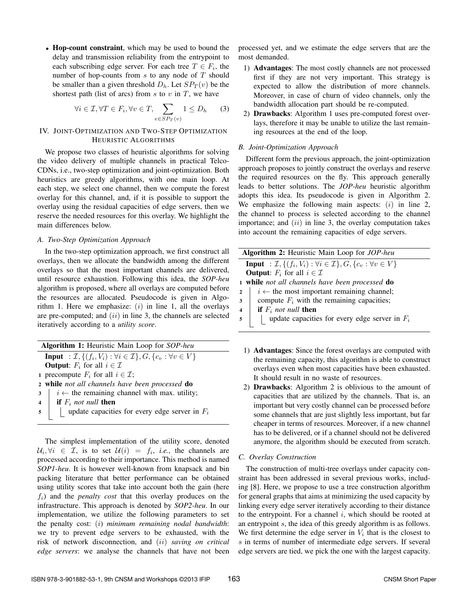• Hop-count constraint, which may be used to bound the delay and transmission reliability from the entrypoint to each subscribing edge server. For each tree  $T \in F_i$ , the number of hop-counts from  $s$  to any node of  $T$  should be smaller than a given threshold  $D_h$ . Let  $SP_T(v)$  be the shortest path (list of arcs) from  $s$  to  $v$  in  $T$ , we have

$$
\forall i \in \mathcal{I}, \forall T \in F_i, \forall v \in T, \sum_{e \in SP_T(v)} 1 \le D_h \tag{3}
$$

# IV. JOINT-OPTIMIZATION AND TWO-STEP OPTIMIZATION HEURISTIC ALGORITHMS

We propose two classes of heuristic algorithms for solving the video delivery of multiple channels in practical Telco-CDNs, i.e., two-step optimization and joint-optimization. Both heuristics are greedy algorithms, with one main loop. At each step, we select one channel, then we compute the forest overlay for this channel, and, if it is possible to support the overlay using the residual capacities of edge servers, then we reserve the needed resources for this overlay. We highlight the main differences below.

# *A. Two-Step Optimization Approach*

In the two-step optimization approach, we first construct all overlays, then we allocate the bandwidth among the different overlays so that the most important channels are delivered, until resource exhaustion. Following this idea, the *SOP-heu* algorithm is proposed, where all overlays are computed before the resources are allocated. Pseudocode is given in Algorithm 1. Here we emphasize:  $(i)$  in line 1, all the overlays are pre-computed; and  $(ii)$  in line 3, the channels are selected iteratively according to a *utility score*.

Algorithm 1: Heuristic Main Loop for *SOP-heu* **Input** :  $\mathcal{I}, \{(f_i, V_i) : \forall i \in \mathcal{I}\}, G, \{c_v : \forall v \in V\}$ **Output**:  $F_i$  for all  $i \in \mathcal{I}$ 1 precompute  $F_i$  for all  $i \in \mathcal{I}$ ; <sup>2</sup> while *not all channels have been processed* do  $3 \mid i \leftarrow$  the remaining channel with max. utility;  $4$  **if**  $F_i$  *not null* then  $\mathfrak{s}$  | update capacities for every edge server in  $F_i$ 

The simplest implementation of the utility score, denoted  $\mathcal{U}_i, \forall i \in \mathcal{I}$ , is to set  $\mathcal{U}(i) = f_i$ , *i.e.*, the channels are processed according to their importance. This method is named *SOP1-heu*. It is however well-known from knapsack and bin packing literature that better performance can be obtained using utility scores that take into account both the gain (here  $f_i$ ) and the *penalty cost* that this overlay produces on the infrastructure. This approach is denoted by *SOP2-heu*. In our implementation, we utilize the following parameters to set the penalty cost: (i) *minimum remaining nodal bandwidth*: we try to prevent edge servers to be exhausted, with the risk of network disconnection, and (ii) *saving on critical edge servers*: we analyse the channels that have not been

processed yet, and we estimate the edge servers that are the most demanded.

- 1) Advantages: The most costly channels are not processed first if they are not very important. This strategy is expected to allow the distribution of more channels. Moreover, in case of churn of video channels, only the bandwidth allocation part should be re-computed.
- 2) Drawbacks: Algorithm 1 uses pre-computed forest overlays, therefore it may be unable to utilize the last remaining resources at the end of the loop.

# *B. Joint-Optimization Approach*

Different form the previous approach, the joint-optimization approach proposes to jointly construct the overlays and reserve the required resources on the fly. This approach generally leads to better solutions. The *JOP-heu* heuristic algorithm adopts this idea. Its pseudocode is given in Algorithm 2. We emphasize the following main aspects:  $(i)$  in line 2, the channel to process is selected according to the channel importance; and  $(ii)$  in line 3, the overlay computation takes into account the remaining capacities of edge servers.

| <b>Algorithm 2:</b> Heuristic Main Loop for <i>JOP-heu</i> |                                                                                                        |
|------------------------------------------------------------|--------------------------------------------------------------------------------------------------------|
|                                                            | <b>Input</b> : $\mathcal{I}, \{(f_i, V_i) : \forall i \in \mathcal{I}\}, G, \{c_v : \forall v \in V\}$ |
| <b>Output:</b> $F_i$ for all $i \in \mathcal{I}$           |                                                                                                        |
| 1 while not all channels have been processed do            |                                                                                                        |
| $\overline{2}$                                             | $i \leftarrow$ the most important remaining channel;                                                   |
| 3                                                          | compute $F_i$ with the remaining capacities;                                                           |
| $\overline{\mathbf{4}}$                                    | <b>if</b> $F_i$ not null <b>then</b>                                                                   |
| 5                                                          | update capacities for every edge server in $F_i$                                                       |
|                                                            |                                                                                                        |

- 1) Advantages: Since the forest overlays are computed with the remaining capacity, this algorithm is able to construct overlays even when most capacities have been exhausted. It should result in no waste of resources.
- 2) Drawbacks: Algorithm 2 is oblivious to the amount of capacities that are utilized by the channels. That is, an important but very costly channel can be processed before some channels that are just slightly less important, but far cheaper in terms of resources. Moreover, if a new channel has to be delivered, or if a channel should not be delivered anymore, the algorithm should be executed from scratch.

### *C. Overlay Construction*

The construction of multi-tree overlays under capacity constraint has been addressed in several previous works, including [8]. Here, we propose to use a tree construction algorithm for general graphs that aims at minimizing the used capacity by linking every edge server iteratively according to their distance to the entrypoint. For a channel  $i$ , which should be rooted at an entrypoint s, the idea of this greedy algorithm is as follows. We first determine the edge server in  $V_i$  that is the closest to s in terms of number of intermediate edge servers. If several edge servers are tied, we pick the one with the largest capacity.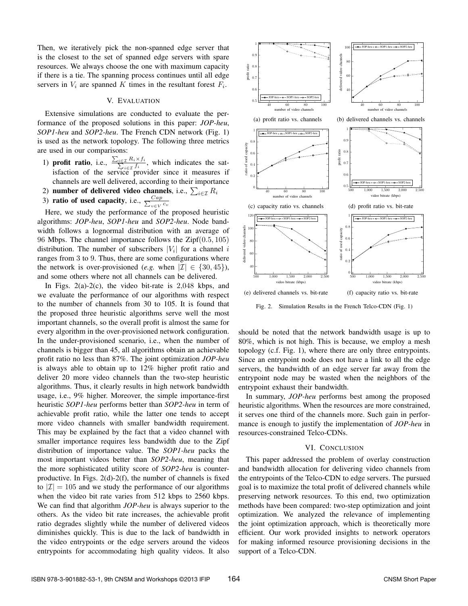Then, we iteratively pick the non-spanned edge server that is the closest to the set of spanned edge servers with spare resources. We always choose the one with maximum capacity if there is a tie. The spanning process continues until all edge servers in  $V_i$  are spanned K times in the resultant forest  $F_i$ .

# V. EVALUATION

Extensive simulations are conducted to evaluate the performance of the proposed solutions in this paper: *JOP-heu*, *SOP1-heu* and *SOP2-heu*. The French CDN network (Fig. 1) is used as the network topology. The following three metrics are used in our comparisons:

- 1) profit ratio, i.e.,  $\frac{\sum_{i \in \mathcal{I}} R_i \times f_i}{\sum_{i \in \mathcal{I}} f_i}$ , which indicates the satisfaction of the service provider since it measures if channels are well delivered, according to their importance
- 2) number of delivered video channels, i.e.,  $\sum_{i \in \mathcal{I}} R_i$
- 3) ratio of used capacity, i.e.,  $\frac{Cap}{\sum_{x \in V} Q(x)}$  $v \in V C$

Here, we study the performance of the proposed heuristic algorithms: *JOP-heu*, *SOP1-heu* and *SOP2-heu*. Node bandwidth follows a lognormal distribution with an average of 96 Mbps. The channel importance follows the  $\text{Zipf}(0.5, 105)$ distribution. The number of subscribers  $|V_i|$  for a channel i ranges from 3 to 9. Thus, there are some configurations where the network is over-provisioned (*e.g.* when  $|\mathcal{I}| \in \{30, 45\}$ ), and some others where not all channels can be delivered.

In Figs.  $2(a)-2(c)$ , the video bit-rate is  $2,048$  kbps, and we evaluate the performance of our algorithms with respect to the number of channels from 30 to 105. It is found that the proposed three heuristic algorithms serve well the most important channels, so the overall profit is almost the same for every algorithm in the over-provisioned network configuration. In the under-provisioned scenario, i.e., when the number of channels is bigger than 45, all algorithms obtain an achievable profit ratio no less than 87%. The joint optimization *JOP-heu* is always able to obtain up to 12% higher profit ratio and deliver 20 more video channels than the two-step heuristic algorithms. Thus, it clearly results in high network bandwidth usage, i.e., 9% higher. Moreover, the simple importance-first heuristic *SOP1-heu* performs better than *SOP2-heu* in term of achievable profit ratio, while the latter one tends to accept more video channels with smaller bandwidth requirement. This may be explained by the fact that a video channel with smaller importance requires less bandwidth due to the Zipf distribution of importance value. The *SOP1-heu* packs the most important videos better than *SOP2-heu*, meaning that the more sophisticated utility score of *SOP2-heu* is counterproductive. In Figs. 2(d)-2(f), the number of channels is fixed to  $|Z| = 105$  and we study the performance of our algorithms when the video bit rate varies from 512 kbps to 2560 kbps. We can find that algorithm *JOP-heu* is always superior to the others. As the video bit rate increases, the achievable profit ratio degrades slightly while the number of delivered videos diminishes quickly. This is due to the lack of bandwidth in the video entrypoints or the edge servers around the videos entrypoints for accommodating high quality videos. It also



Fig. 2. Simulation Results in the French Telco-CDN (Fig. 1)

should be noted that the network bandwidth usage is up to 80%, which is not high. This is because, we employ a mesh topology (c.f. Fig. 1), where there are only three entrypoints. Since an entrypoint node does not have a link to all the edge servers, the bandwidth of an edge server far away from the entrypoint node may be wasted when the neighbors of the entrypoint exhaust their bandwidth.

In summary, *JOP-heu* performs best among the proposed heuristic algorithms. When the resources are more constrained, it serves one third of the channels more. Such gain in performance is enough to justify the implementation of *JOP-heu* in resources-constrained Telco-CDNs.

#### VI. CONCLUSION

This paper addressed the problem of overlay construction and bandwidth allocation for delivering video channels from the entrypoints of the Telco-CDN to edge servers. The pursued goal is to maximize the total profit of delivered channels while preserving network resources. To this end, two optimization methods have been compared: two-step optimization and joint optimization. We analyzed the relevance of implementing the joint optimization approach, which is theoretically more efficient. Our work provided insights to network operators for making informed resource provisioning decisions in the support of a Telco-CDN.